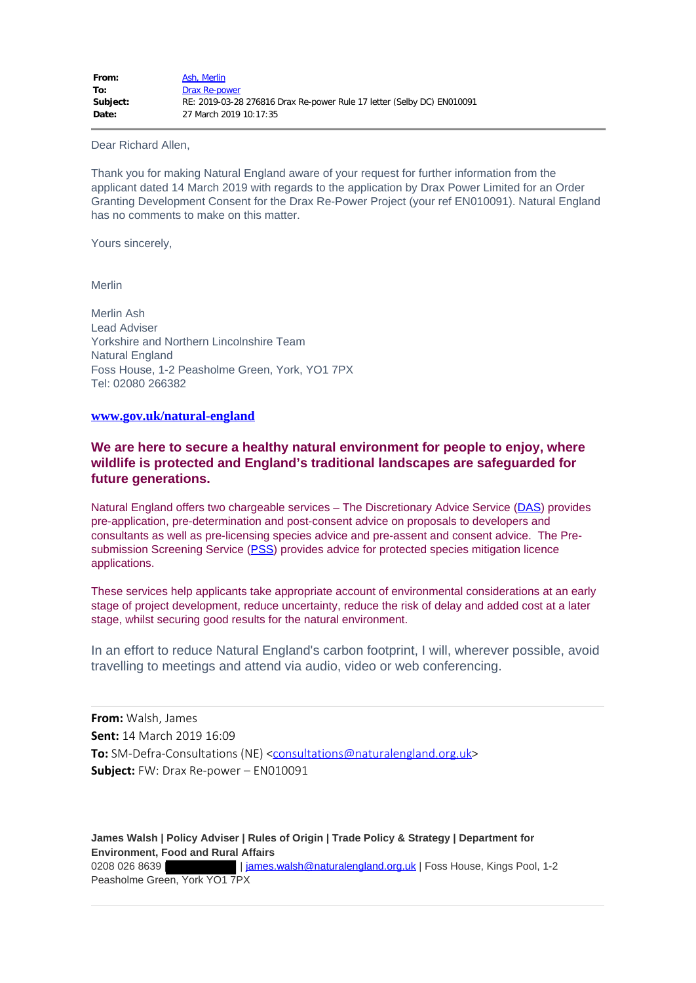## Dear Richard Allen,

Thank you for making Natural England aware of your request for further information from the applicant dated 14 March 2019 with regards to the application by Drax Power Limited for an Order Granting Development Consent for the Drax Re-Power Project (your ref EN010091). Natural England has no comments to make on this matter.

Yours sincerely,

Merlin

Merlin Ash Lead Adviser Yorkshire and Northern Lincolnshire Team Natural England Foss House, 1-2 Peasholme Green, York, YO1 7PX Tel: 02080 266382

## **[www.gov.uk/natural-england](http://www.gov.uk/natural-england)**

## **We are here to secure a healthy natural environment for people to enjoy, where wildlife is protected and England's traditional landscapes are safeguarded for future generations.**

Natural England offers two chargeable services – The Discretionary Advice Service ([DAS\)](https://www.gov.uk/discretionary-advice-service-get-advice-on-planning-proposals-affecting-the-natural-environment-in-england) provides pre-application, pre-determination and post-consent advice on proposals to developers and consultants as well as pre-licensing species advice and pre-assent and consent advice. The Pre-submission Screening Service ([PSS\)](https://www.gov.uk/pre-submission-screening-service-advice-on-planning-proposals-affecting-protected-species) provides advice for protected species mitigation licence applications.

These services help applicants take appropriate account of environmental considerations at an early stage of project development, reduce uncertainty, reduce the risk of delay and added cost at a later stage, whilst securing good results for the natural environment.

In an effort to reduce Natural England's carbon footprint, I will, wherever possible, avoid travelling to meetings and attend via audio, video or web conferencing.

**From:** Walsh, James **Sent:** 14 March 2019 16:09 **To:** SM-Defra-Consultations (NE) [<consultations@naturalengland.org.uk](mailto:consultations@naturalengland.org.uk)> **Subject:** FW: Drax Re-power – EN010091

**James Walsh | Policy Adviser | Rules of Origin | Trade Policy & Strategy | Department for Environment, Food and Rural Affairs** 0208 026 8639 | | [james.walsh@naturalengland.org.uk](mailto:james.walsh@naturalengland.org.uk) | Foss House, Kings Pool, 1-2 Peasholme Green, York YO1 7PX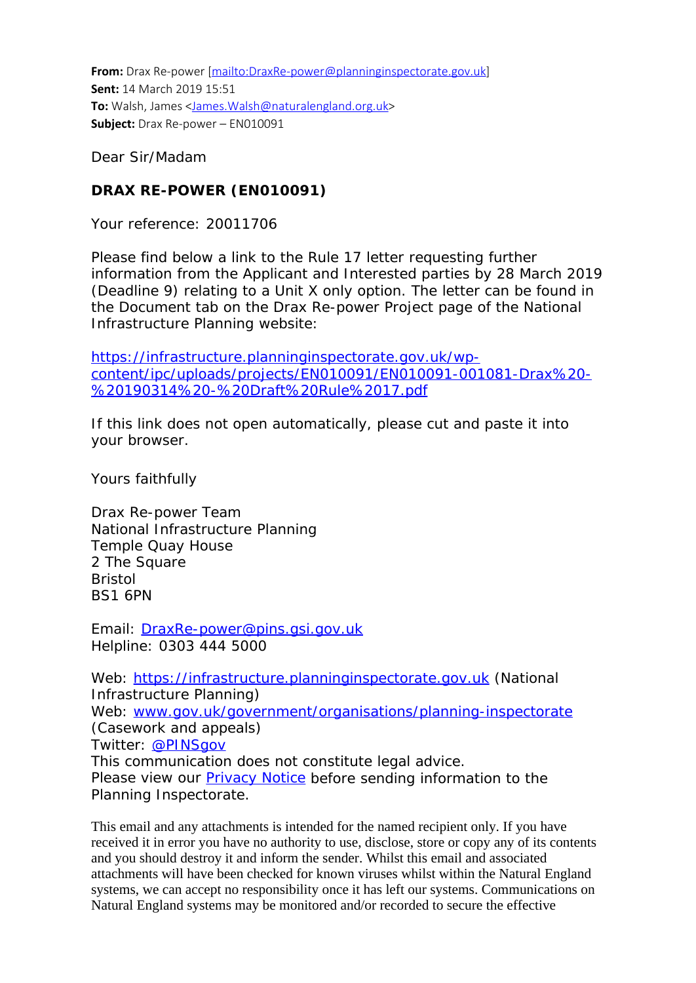**From:** Drax Re-power [\[mailto:DraxRe-power@planninginspectorate.gov.uk](mailto:DraxRe-power@planninginspectorate.gov.uk)] **Sent:** 14 March 2019 15:51 **To:** Walsh, James [<James.Walsh@naturalengland.org.uk](mailto:James.Walsh@naturalengland.org.uk)> **Subject:** Drax Re-power – EN010091

Dear Sir/Madam

## **DRAX RE-POWER (EN010091)**

Your reference: 20011706

Please find below a link to the Rule 17 letter requesting further information from the Applicant and Interested parties by 28 March 2019 (Deadline 9) relating to a Unit X only option. The letter can be found in the Document tab on the Drax Re-power Project page of the National Infrastructure Planning website:

[https://infrastructure.planninginspectorate.gov.uk/wp](https://infrastructure.planninginspectorate.gov.uk/wp-content/ipc/uploads/projects/EN010091/EN010091-001081-Drax%20-%20190314%20-%20Draft%20Rule%2017.pdf)[content/ipc/uploads/projects/EN010091/EN010091-001081-Drax%20-](https://infrastructure.planninginspectorate.gov.uk/wp-content/ipc/uploads/projects/EN010091/EN010091-001081-Drax%20-%20190314%20-%20Draft%20Rule%2017.pdf) [%20190314%20-%20Draft%20Rule%2017.pdf](https://infrastructure.planninginspectorate.gov.uk/wp-content/ipc/uploads/projects/EN010091/EN010091-001081-Drax%20-%20190314%20-%20Draft%20Rule%2017.pdf)

If this link does not open automatically, please cut and paste it into your browser.

Yours faithfully

Drax Re-power Team National Infrastructure Planning Temple Quay House 2 The Square Bristol BS1 6PN

Email: [DraxRe-power@pins.gsi.gov.uk](mailto:DraxRe-power@pins.gsi.gov.uk) Helpline: 0303 444 5000

Web: [https://infrastructure.planninginspectorate.gov.uk](https://infrastructure.planninginspectorate.gov.uk/) (National Infrastructure Planning) Web: [www.gov.uk/government/organisations/planning-inspectorate](http://www.gov.uk/government/organisations/planning-inspectorate) (Casework and appeals) Twitter: [@PINSgov](mailto:@PINSgov) This communication does not constitute legal advice. Please view our **Privacy Notice** before sending information to the Planning Inspectorate.

This email and any attachments is intended for the named recipient only. If you have received it in error you have no authority to use, disclose, store or copy any of its contents and you should destroy it and inform the sender. Whilst this email and associated attachments will have been checked for known viruses whilst within the Natural England systems, we can accept no responsibility once it has left our systems. Communications on Natural England systems may be monitored and/or recorded to secure the effective